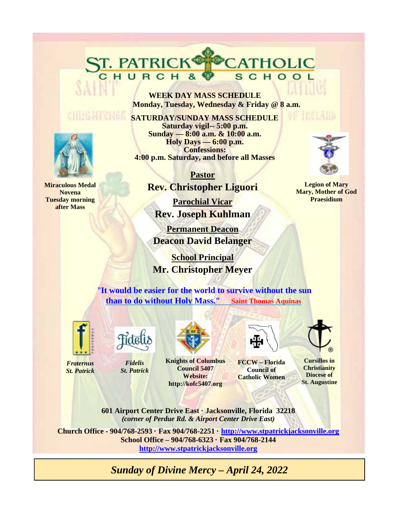**WEEK DAY MASS SCHEDULE Monday, Tuesday, Wednesday & Friday @ 8 a.m.** 

CATHOLIC

SCHOOL

**SATURDAY/SUNDAY MASS SCHEDULE Saturday vigil-- 5:00 p.m. Sunday — 8:00 a.m. & 10:00 a.m. Holy Days — 6:00 p.m. Confessions: 4:00 p.m. Saturday, and before all Masses** 

> **Pastor Rev. Christopher Liguori**

**Parochial Vicar Rev. Joseph Kuhlman** 

**Permanent Deacon Deacon David Belanger** 

 **School Principal Mr. Christopher Meyer**

"**It would be easier for the world to survive without the sun than to do without Holy Mass." Saint Thomas Aquinas**



*Fraternus St. Patrick*



*Fidelis St. Patrick*

ST. PATRICK®



**Knights of Columbus Council 5407 Website: http://kofc5407.org**



**FCCW – Florida Council of Catholic Women** 

**Cursillos in Christianity Diocese of St. Augustine** 

**601 Airport Center Drive East · Jacksonville, Florida 32218**  *(corner of Perdue Rd. & Airport Center Drive East)* 

**Church Office - 904/768-2593 · Fax 904/768-2251 · http://www.stpatrickjacksonville.org School Office – 904/768-6323 · Fax 904/768-2144 http://www.stpatrickjacksonville.org**

*Sunday of Divine Mercy – April 24, 2022* 



**Miraculous Medal Novena Tuesday morning after Mass** 



of Thematic

**Legion of Mary Mary, Mother of God Praesidium**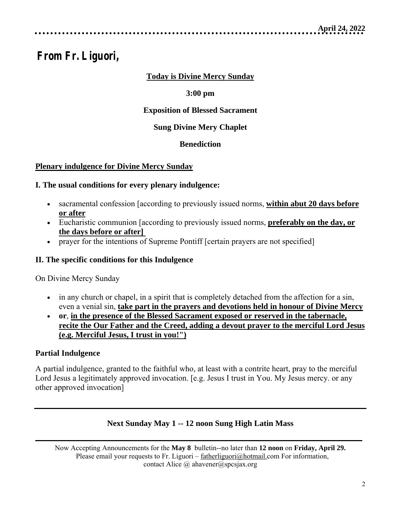# **From Fr. Liguori,**

# **Today is Divine Mercy Sunday**

# **3:00 pm**

# **Exposition of Blessed Sacrament**

# **Sung Divine Mery Chaplet**

# **Benediction**

# **Plenary indulgence for Divine Mercy Sunday**

# **I. The usual conditions for every plenary indulgence:**

- sacramental confession [according to previously issued norms, **within abut 20 days before or after**
- Eucharistic communion [according to previously issued norms, **preferably on the day, or the days before or after]**
- prayer for the intentions of Supreme Pontiff [certain prayers are not specified]

## **II. The specific conditions for this Indulgence**

On Divine Mercy Sunday

- in any church or chapel, in a spirit that is completely detached from the affection for a sin, even a venial sin, **take part in the prayers and devotions held in honour of Divine Mercy**
- **or**, **in the presence of the Blessed Sacrament exposed or reserved in the tabernacle, recite the Our Father and the Creed, adding a devout prayer to the merciful Lord Jesus (e.g. Merciful Jesus, I trust in you!")**

# **Partial Indulgence**

A partial indulgence, granted to the faithful who, at least with a contrite heart, pray to the merciful Lord Jesus a legitimately approved invocation. [e.g. Jesus I trust in You. My Jesus mercy. or any other approved invocation]

# **Next Sunday May 1 -- 12 noon Sung High Latin Mass**

Now Accepting Announcements for the **May 8** bulletin--no later than **12 noon** on **Friday, April 29.**Please email your requests to Fr. Liguori – fatherliguori@hotmail.com For information, contact Alice @ ahavener@spcsjax.org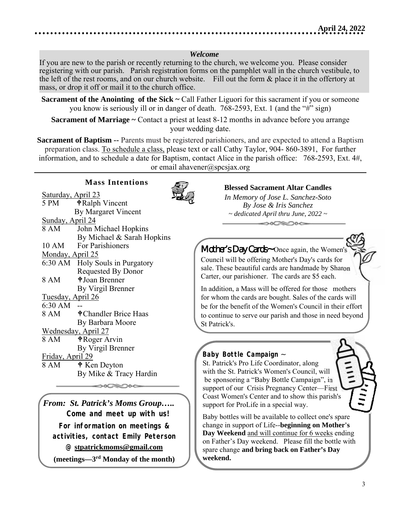## *Welcome*

If you are new to the parish or recently returning to the church, we welcome you. Please consider registering with our parish. Parish registration forms on the pamphlet wall in the church vestibule, to the left of the rest rooms, and on our church website. Fill out the form & place it in the offertory at mass, or drop it off or mail it to the church office.

**Sacrament of the Anointing of the Sick ~ Call Father Liguori for this sacrament if you or someone** you know is seriously ill or in danger of death. 768-2593, Ext. 1 (and the "#" sign)

**Sacrament of Marriage ~** Contact a priest at least 8-12 months in advance before you arrange your wedding date.

**Sacrament of Baptism --** Parents must be registered parishioners, and are expected to attend a Baptism preparation class. To schedule a class, please text or call Cathy Taylor, 904- 860-3891, For further information, and to schedule a date for Baptism, contact Alice in the parish office: 768-2593, Ext. 4#, or email ahavener@spcsjax.org

## **Mass Intentions**



Saturday, April 23 5 PM  $\qquad \qquad \bullet$  Ralph Vincent By Margaret Vincent Sunday, April 24 8 AM John Michael Hopkins By Michael & Sarah Hopkins 10 AM For Parishioners Monday, April 25 6:30 AM Holy Souls in Purgatory Requested By Donor 8 AM  $\bullet$  Joan Brenner By Virgil Brenner Tuesday, April 26 6:30 AM -- 8 AM  $\bullet$  Chandler Brice Haas By Barbara Moore Wednesday, April 27 8 AM  $\phi$  Roger Arvin By Virgil Brenner Friday, April 29  $8 AM$   $\bullet$  Ken Deyton By Mike & Tracy Hardin

*From: St. Patrick's Moms Group….. Come and meet up with us! For information on meetings & activities, contact Emily Peterson @* **stpatrickmoms@gmail.com** 

**(meetings—3rd Monday of the month)** 

## **Blessed Sacrament Altar Candles**

*In Memory of Jose L. Sanchez-Soto By Jose & Iris Sanchez ~ dedicated April thru June, 2022 ~*   $\longrightarrow$ 

*Mother's Day Cards~* Once again, the Women's Council will be offering Mother's Day's cards for sale. These beautiful cards are handmade by Sharon Carter, our parishioner. The cards are \$5 each.

In addition, a Mass will be offered for those mothers for whom the cards are bought. Sales of the cards will be for the benefit of the Women's Council in their effort to continue to serve our parish and those in need beyond St Patrick's.

## *Baby Bottle Campaign ~*

St. Patrick's Pro Life Coordinator, along with the St. Patrick's Women's Council, will be sponsoring a "Baby Bottle Campaign", in support of our Crisis Pregnancy Center—First Coast Women's Center and to show this parish's support for ProLife in a special way.

Baby bottles will be available to collect one's spare change in support of Life--**beginning on Mother's Day Weekend** and will continue for 6 weeks ending on Father's Day weekend. Please fill the bottle with spare change **and bring back on Father's Day weekend.**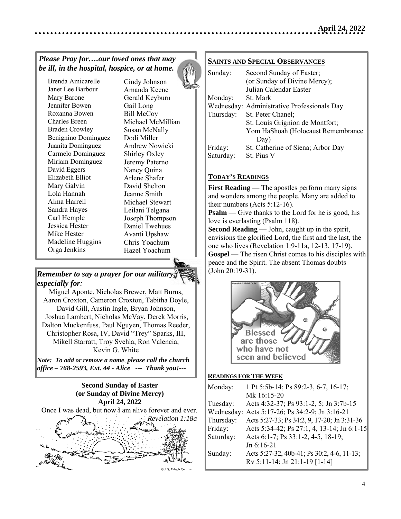## *Please Pray for….our loved ones that may be ill, in the hospital, hospice, or at home.*

Brenda Amicarelle Janet Lee Barbour Mary Barone Jennifer Bowen Roxanna Bowen Charles Breen Braden Crowley Benignino Dominguez Juanita Dominguez Carmelo Dominguez Miriam Dominguez David Eggers Elizabeth Elliot Mary Galvin Lola Hannah Alma Harrell Sandra Hayes Carl Hemple Jessica Hester Mike Hester Madeline Huggins Orga Jenkins

Cindy Johnson Amanda Keene Gerald Keyburn Gail Long Bill McCoy Michael McMillian Susan McNally Dodi Miller Andrew Nowicki Shirley Oxley Jeremy Paterno Nancy Quina Arlene Shafer David Shelton Jeanne Smith Michael Stewart Leilani Telgana Joseph Thompson Daniel Twehues Avanti Upshaw Chris Yoachum Hazel Yoachum

# *Remember to say a prayer for our military, especially for:*

Miguel Aponte, Nicholas Brewer, Matt Burns, Aaron Croxton, Cameron Croxton, Tabitha Doyle, David Gill, Austin Ingle, Bryan Johnson,  Joshua Lambert, Nicholas McVay, Derek Morris, Dalton Muckenfuss, Paul Nguyen, Thomas Reeder, Christopher Rosa, IV, David "Trey" Sparks, III, Mikell Starratt, Troy Svehla, Ron Valencia, Kevin G. White

*Note: To add or remove a name, please call the church office – 768-2593, Ext. 4# - Alice --- Thank you!---* 



## **SAINTS AND SPECIAL OBSERVANCES**

| Sunday:   | Second Sunday of Easter;                    |
|-----------|---------------------------------------------|
|           | (or Sunday of Divine Mercy);                |
|           | Julian Calendar Easter                      |
| Monday:   | St. Mark                                    |
|           | Wednesday: Administrative Professionals Day |
| Thursday: | St. Peter Chanel;                           |
|           | St. Louis Grignion de Montfort;             |
|           | Yom HaShoah (Holocaust Remembrance          |
|           | Day)                                        |
| Friday:   | St. Catherine of Siena; Arbor Day           |
| Saturday: | St. Pius V                                  |

## **TODAY'S READINGS**

**First Reading** — The apostles perform many signs and wonders among the people. Many are added to their numbers (Acts 5:12-16).

**Psalm** — Give thanks to the Lord for he is good, his love is everlasting (Psalm 118).

**Second Reading** — John, caught up in the spirit, envisions the glorified Lord, the first and the last, the one who lives (Revelation 1:9-11a, 12-13, 17-19). **Gospel** — The risen Christ comes to his disciples with peace and the Spirit. The absent Thomas doubts (John 20:19-31).



## **READINGS FOR THE WEEK**

| Monday:   | 1 Pt 5:5b-14; Ps 89:2-3, 6-7, 16-17;           |
|-----------|------------------------------------------------|
|           | Mk 16:15-20                                    |
| Tuesday:  | Acts 4:32-37; Ps 93:1-2, 5; Jn 3:7b-15         |
|           | Wednesday: Acts 5:17-26; Ps 34:2-9; Jn 3:16-21 |
| Thursday: | Acts 5:27-33; Ps 34:2, 9, 17-20; Jn 3:31-36    |
| Friday:   | Acts 5:34-42; Ps 27:1, 4, 13-14; Jn 6:1-15     |
| Saturday: | Acts 6:1-7; Ps 33:1-2, 4-5, 18-19;             |
|           | Jn $6:16-21$                                   |
| Sunday:   | Acts 5:27-32, 40b-41; Ps 30:2, 4-6, 11-13;     |
|           | Rv 5:11-14; Jn 21:1-19 [1-14]                  |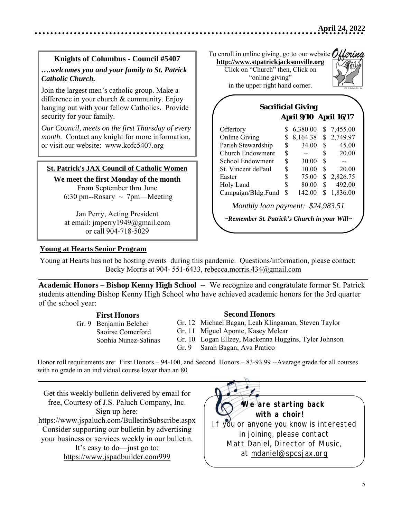## **Knights of Columbus - Council #5407**  *….welcomes you and your family to St. Patrick Catholic Church.*

Join the largest men's catholic group. Make a difference in your church & community. Enjoy hanging out with your fellow Catholics. Provide security for your family.

*Our Council, meets on the first Thursday of every month*. Contact any knight for more information, or visit our website: www.kofc5407.org

### **St. Patrick's JAX Council of Catholic Women**

**We meet the first Monday of the month**  From September thru June 6:30 pm--Rosary  $\sim$  7pm—Meeting

Jan Perry, Acting President at email: jmperry1949@gmail.com or call 904-718-5029

To enroll in online giving, go to our website: Ollering **http://www.stpatrickjacksonville.org**

Click on "Church" then, Click on "online giving" in the upper right hand corner.



|                                   |    | <b>April 9/10 April 16/17</b> |    |          |
|-----------------------------------|----|-------------------------------|----|----------|
| Offertory                         | S  | 6,380.00                      | S  | 7,455.00 |
| <b>Online Giving</b>              |    | 8,164.38                      | \$ | 2,749.97 |
| Parish Stewardship                |    | 34.00                         | \$ | 45.00    |
| Church Endowment                  |    |                               | \$ | 20.00    |
| School Endowment                  |    | 30.00                         | \$ |          |
| St. Vincent dePaul                |    | 10.00                         | \$ | 20.00    |
| Easter                            |    | 75.00                         | \$ | 2,826.75 |
| Holy Land                         |    | 80.00                         | \$ | 492.00   |
| Campaign/Bldg.Fund                | \$ | 142.00                        | \$ | 1,836.00 |
| Monthly loan payment: \$24,983.51 |    |                               |    |          |

## **Young at Hearts Senior Program**

 $\overline{\phantom{a}}$ 

 $\overline{\phantom{a}}$ 

Young at Hearts has not be hosting events during this pandemic. Questions/information, please contact: Becky Morris at 904- 551-6433, rebecca.morris.434@gmail.com

**Academic Honors – Bishop Kenny High School --** We recognize and congratulate former St. Patrick students attending Bishop Kenny High School who have achieved academic honors for the 3rd quarter of the school year:

#### **First Honors**

 Gr. 9 Benjamin Belcher Saoirse Comerford Sophia Nunez-Salinas

#### **Second Honors**

Gr. 12 Michael Bagan, Leah Klingaman, Steven Taylor

- Gr. 11 Miguel Aponte, Kasey Melear
- Gr. 10 Logan Ellzey, Mackenna Huggins, Tyler Johnson
- Gr. 9 Sarah Bagan, Ava Pratico

Honor roll requirements are: First Honors – 94-100, and Second Honors – 83-93.99 --Average grade for all courses with no grade in an individual course lower than an 80

Get this weekly bulletin delivered by email for free, Courtesy of J.S. Paluch Company, Inc. Sign up here: https://www.jspaluch.com/BulletinSubscribe.aspx Consider supporting our bulletin by advertising your business or services weekly in our bulletin. It's easy to do—just go to: https://www.jspadbuilder.com999

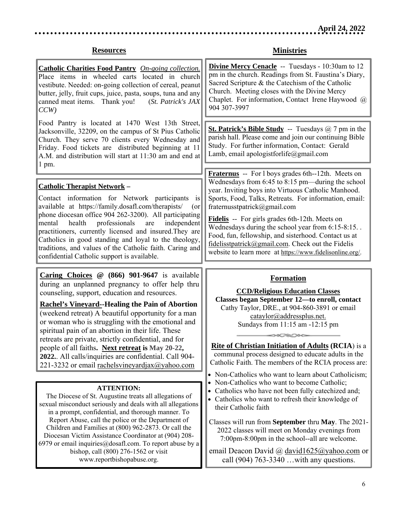#### **Resources**

**Catholic Charities Food Pantry** *On-going collection.* Place items in wheeled carts located in church vestibute. Needed: on-going collection of cereal, peanut butter, jelly, fruit cups, juice, pasta, soups, tuna and any canned meat items. Thank you! (*St. Patrick's JAX CCW)* 

Food Pantry is located at 1470 West 13th Street, Jacksonville, 32209, on the campus of St Pius Catholic Church. They serve 70 clients every Wednesday and Friday. Food tickets are distributed beginning at 11 A.M. and distribution will start at 11:30 am and end at 1 pm.

### **Catholic Therapist Network –**

 $\overline{\phantom{a}}$ 

 $\overline{\phantom{a}}$ 

Contact information for Network participants is available at https://family.dosafl.com/therapists/ (or phone diocesan office 904 262-3200). All participating mental health professionals are independent practitioners, currently licensed and insured.They are Catholics in good standing and loyal to the theology, traditions, and values of the Catholic faith. Caring and confidential Catholic support is available.

**Caring Choices @ (866) 901-9647** is available during an unplanned pregnancy to offer help thru counseling, support, education and resources.

**Rachel's Vineyard--Healing the Pain of Abortion**  (weekend retreat) A beautiful opportunity for a man or woman who is struggling with the emotional and spiritual pain of an abortion in their life. These retreats are private, strictly confidential, and for people of all faiths**. Next retreat is May 20-22, 2022.**. All calls/inquiries are confidential. Call 904- 221-3232 or email rachelsvineyardjax@yahoo.com

#### **ATTENTION:**

The Diocese of St. Augustine treats all allegations of sexual misconduct seriously and deals with all allegations in a prompt, confidential, and thorough manner. To Report Abuse, call the police or the Department of Children and Families at (800) 962‐2873. Or call the Diocesan Victim Assistance Coordinator at (904) 208‐ 6979 or email inquiries  $@$  dosafl.com. To report abuse by a bishop, call (800) 276‐1562 or visit www.reportbishopabuse.org.

## **Ministries**

**Divine Mercy Cenacle** -- Tuesdays - 10:30am to 12 pm in the church. Readings from St. Faustina's Diary, Sacred Scripture & the Catechism of the Catholic Church. Meeting closes with the Divine Mercy Chaplet. For information, Contact Irene Haywood @ 904 307-3997

**St. Patrick's Bible Study** -- Tuesdays @ 7 pm in the parish hall. Please come and join our continuing Bible Study. For further information, Contact: Gerald Lamb, email apologistforlife@gmail.com

**Fraternus** -- For l boys grades 6th--12th. Meets on Wednesdays from 6:45 to 8:15 pm—during the school year. Inviting boys into Virtuous Catholic Manhood. Sports, Food, Talks, Retreats. For information, email: fraternusstpatrick@gmail.com

**Fidelis** -- For girls grades 6th-12th. Meets on Wednesdays during the school year from 6:15-8:15. . Food, fun, fellowship, and sisterhood. Contact us at fidelisstpatrick@gmail.com. Check out the Fidelis website to learn more at https://www.fidelisonline.org/.

### **Formation**

**CCD/Religious Education Classes Classes began September 12—to enroll, contact**  Cathy Taylor, DRE., at 904-860-3891 or email cataylor@addressplus.net. Sundays from 11:15 am -12:15 pm

**Rite of Christian Initiation of Adults (RCIA**) is a communal process designed to educate adults in the Catholic Faith. The members of the RCIA process are:

 $\circ$ 

- Non-Catholics who want to learn about Catholicism;
- Non-Catholics who want to become Catholic;
- Catholics who have not been fully cate chized and;
- Catholics who want to refresh their knowledge of their Catholic faith

Classes will run from **September** thru **May**. The 2021- 2022 classes will meet on Monday evenings from 7:00pm-8:00pm in the school--all are welcome.

email Deacon David @ david1625@yahoo.com or call (904) 763-3340 …with any questions.